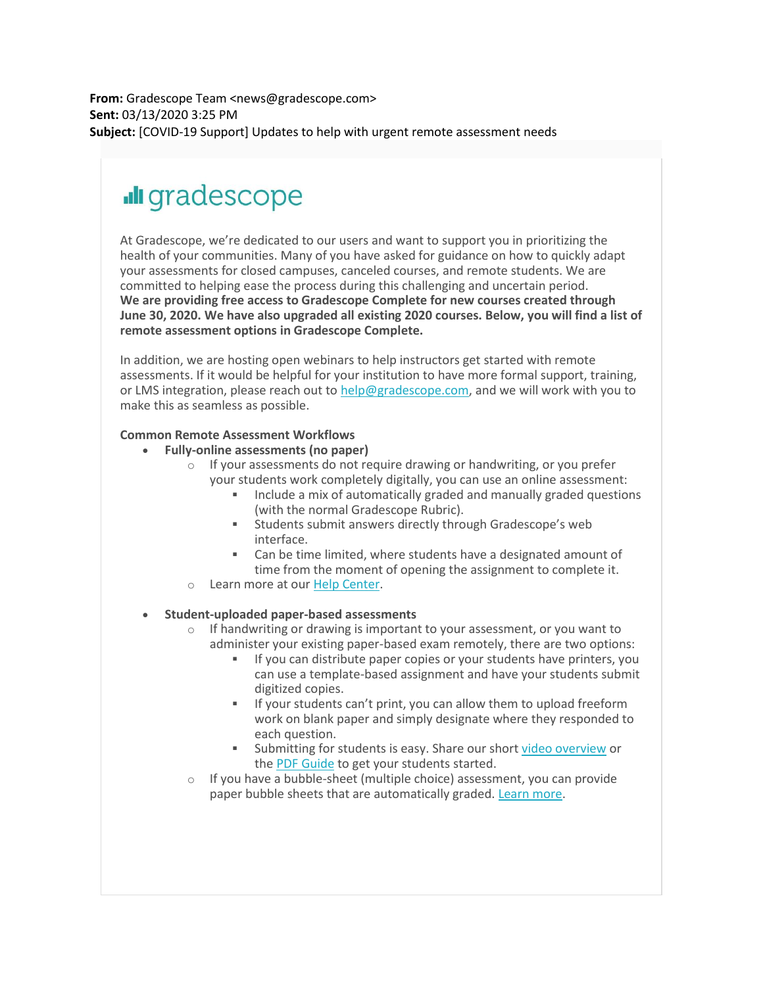**From:** Gradescope Team <news@gradescope.com> **Sent:** 03/13/2020 3:25 PM **Subject:** [COVID-19 Support] Updates to help with urgent remote assessment needs

# **Ill** gradescope

At Gradescope, we're dedicated to our users and want to support you in prioritizing the health of your communities. Many of you have asked for guidance on how to quickly adapt your assessments for closed campuses, canceled courses, and remote students. We are committed to helping ease the process during this challenging and uncertain period. **We are providing free access to Gradescope Complete for new courses created through June 30, 2020. We have also upgraded all existing 2020 courses. Below, you will find a list of remote assessment options in Gradescope Complete.**

In addition, we are hosting open webinars to help instructors get started with remote assessments. If it would be helpful for your institution to have more formal support, training, or LMS integration, please reach out to [help@gradescope.com,](mailto:help@gradescope.com) and we will work with you to make this as seamless as possible.

## **Common Remote Assessment Workflows**

- **Fully-online assessments (no paper)**
	- o If your assessments do not require drawing or handwriting, or you prefer your students work completely digitally, you can use an online assessment:
		- Include a mix of automatically graded and manually graded questions (with the normal Gradescope Rubric).
		- Students submit answers directly through Gradescope's web interface.
		- Can be time limited, where students have a designated amount of time from the moment of opening the assignment to complete it.
	- o Learn more at our [Help Center.](https://nam05.safelinks.protection.outlook.com/?url=https%3A%2F%2Fgradescope.us12.list-manage.com%2Ftrack%2Fclick%3Fu%3D0d3584d6be45b0e9e429ab334%26id%3D0238dd9214%26e%3D3dfd7d822f&data=02%7C01%7Cjoeg%40pitt.edu%7C48ed8c04b41b497b1f0108d7c78489a0%7C9ef9f489e0a04eeb87cc3a526112fd0d%7C1%7C0%7C637197244368867275&sdata=u2eVaePVYaf5OdLJ63MqyS4dKPrN%2FXrXxYTdgAPiAAA%3D&reserved=0)

## • **Student-uploaded paper-based assessments**

- $\circ$  If handwriting or drawing is important to your assessment, or you want to administer your existing paper-based exam remotely, there are two options:
	- **EXECT** If you can distribute paper copies or your students have printers, you can use a template-based assignment and have your students submit digitized copies.
	- If your students can't print, you can allow them to upload freeform work on blank paper and simply designate where they responded to each question.
	- Submitting for students is easy. Share our shor[t video overview](https://nam05.safelinks.protection.outlook.com/?url=https%3A%2F%2Fgradescope.us12.list-manage.com%2Ftrack%2Fclick%3Fu%3D0d3584d6be45b0e9e429ab334%26id%3De3f526d039%26e%3D3dfd7d822f&data=02%7C01%7Cjoeg%40pitt.edu%7C48ed8c04b41b497b1f0108d7c78489a0%7C9ef9f489e0a04eeb87cc3a526112fd0d%7C1%7C0%7C637197244368867275&sdata=rwlTziQPGH0XAybZRHEWv0zRmtiMoMvzdziFOZ6Fzxg%3D&reserved=0) or the PDF [Guide](https://nam05.safelinks.protection.outlook.com/?url=https%3A%2F%2Fgradescope.us12.list-manage.com%2Ftrack%2Fclick%3Fu%3D0d3584d6be45b0e9e429ab334%26id%3D64bdfc9610%26e%3D3dfd7d822f&data=02%7C01%7Cjoeg%40pitt.edu%7C48ed8c04b41b497b1f0108d7c78489a0%7C9ef9f489e0a04eeb87cc3a526112fd0d%7C1%7C0%7C637197244368867275&sdata=YXRfH98NkGZESkz3Tx4JPyh2abiO5F5uNIwa%2BO75oQI%3D&reserved=0) to get your students started.
- o If you have a bubble-sheet (multiple choice) assessment, you can provide paper bubble sheets that are automatically graded. [Learn more.](https://nam05.safelinks.protection.outlook.com/?url=https%3A%2F%2Fgradescope.us12.list-manage.com%2Ftrack%2Fclick%3Fu%3D0d3584d6be45b0e9e429ab334%26id%3De60517b4f0%26e%3D3dfd7d822f&data=02%7C01%7Cjoeg%40pitt.edu%7C48ed8c04b41b497b1f0108d7c78489a0%7C9ef9f489e0a04eeb87cc3a526112fd0d%7C1%7C0%7C637197244368877264&sdata=Tl433x5fs9TWKDQBnI7BN5JFUpCcs8%2FEEca8Fv1OKuo%3D&reserved=0)